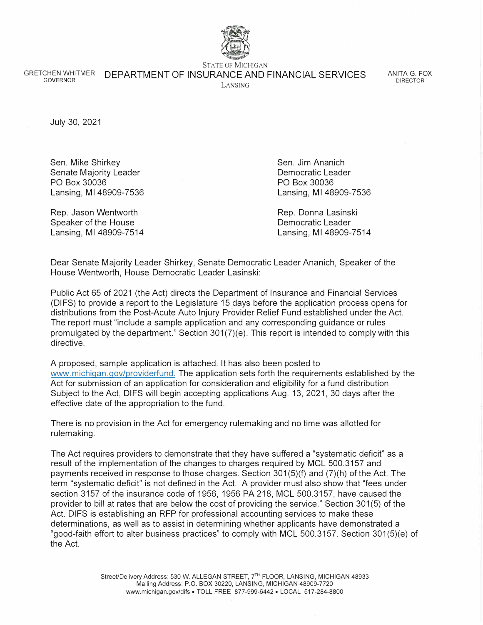

**STATE OF MICHIGAN** 

GRETCHEN WHITMER DEPARTMENT OF INSURANCE AND FINANCIAL SERVICES LANSING

ANITA G. FOX DIRECTOR

July 30, 2021

Sen. Mike Shirkey Senate Majority Leader PO Box 30036 Lansing, Ml 48909-7536

Rep. Jason Wentworth Speaker of the House Lansing, Ml 48909-7514 Sen. Jim Ananich Democratic Leader PO Box 30036 Lansing, Ml 48909-7536

Rep. Donna Lasinski Democratic Leader Lansing, Ml 48909-7514

Dear Senate Majority Leader Shirkey, Senate Democratic Leader Ananich, Speaker of the House Wentworth, House Democratic Leader Lasinski:

Public Act 65 of 2021 (the Act) directs the Department of Insurance and Financial Services (DIFS) to provide a report to the Legislature 15 days before the application process opens for distributions from the Post-Acute Auto Injury Provider Relief Fund established under the Act. The report must "include a sample application and any corresponding guidance or rules promulgated by the department." Section 301(7)(e). This report is intended to comply with this directive.

A proposed, sample application is attached. It has also been posted to [www.michigan.gov/providerfund. T](https://www.michigan.gov/providerfund)he application sets forth the requirements established by the Act for submission of an application for consideration and eligibility for a fund distribution. Subject to the Act, DIFS will begin accepting applications Aug. 13, 2021, 30 days after the effective date of the appropriation to the fund.

There is no provision in the Act for emergency rulemaking and no time was allotted for rulemaking.

The Act requires providers to demonstrate that they have suffered a "systematic deficit" as a result of the implementation of the changes to charges required by MCL 500.3157 and payments received in response to those charges. Section 301 (5)(f) and (7)(h) of the Act. The term "systematic deficit" is not defined in the Act. A provider must also show that "fees under section 3157 of the insurance code of 1956, 1956 PA 218, MCL 500.3157, have caused the provider to bill at rates that are below the cost of providing the service." Section 301(5) of the Act. DIFS is establishing an RFP for professional accounting services to make these determinations, as well as to assist in determining whether applicants have demonstrated a "good-faith effort to alter business practices" to comply with MCL 500.3157. Section 301 (5)(e) of the Act.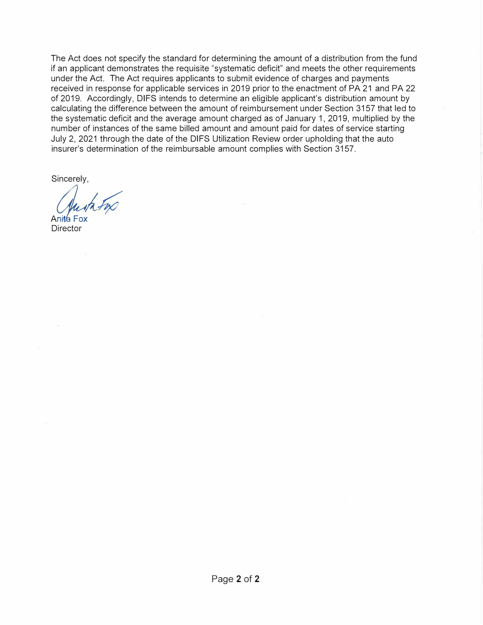The Act does not specify the standard for determining the amount of a distribution from the fund if an applicant demonstrates the requisite "systematic deficit" and meets the other requirements under the Act. The Act requires applicants to submit evidence of charges and payments received in response for applicable services in 2019 prior to the enactment of PA 21 and PA 22 of 2019. Accordingly, DIFS intends to determine an eligible applicant's distribution amount by calculating the difference between the amount of reimbursement under Section 3157 that led to the systematic deficit and the average amount charged as of January 1, 2019, multiplied by the number of instances of the same billed amount and amount paid for dates of service starting July 2, 2021 through the date of the DIFS Utilization Review order upholding that the auto insurer's determination of the reimbursable amount complies with Section 3157.

Sincerely,

*Austr Frx*<br>Aniva Fox<br>Pirector

**Director**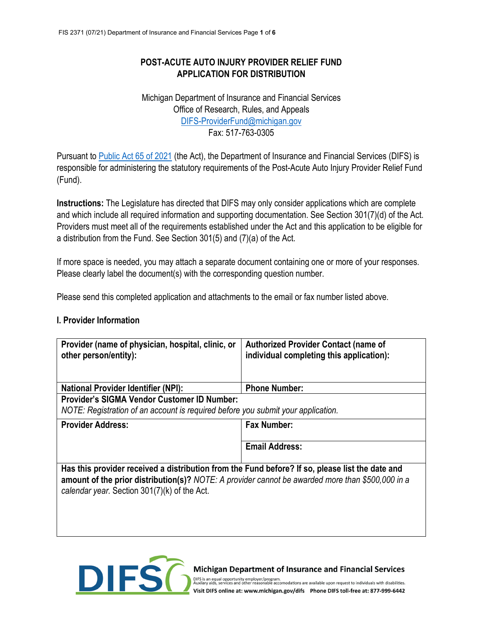# **POST-ACUTE AUTO INJURY PROVIDER RELIEF FUND APPLICATION FOR DISTRIBUTION**

Michigan Department of Insurance and Financial Services Office of Research, Rules, and Appeals [DIFS-ProviderFund@michigan.gov](mailto:DIFS-ProviderFund@michigan.gov) Fax: 517-763-0305

Pursuant to [Public Act 65](https://www.legislature.mi.gov/documents/2021-2022/publicact/pdf/2021-PA-0065.pdf) of 2021 (the Act), the Department of Insurance and Financial Services (DIFS) is responsible for administering the statutory requirements of the Post-Acute Auto Injury Provider Relief Fund (Fund).

**Instructions:** The Legislature has directed that DIFS may only consider applications which are complete and which include all required information and supporting documentation. See Section 301(7)(d) of the Act. Providers must meet all of the requirements established under the Act and this application to be eligible for a distribution from the Fund. See Section 301(5) and (7)(a) of the Act.

If more space is needed, you may attach a separate document containing one or more of your responses. Please clearly label the document(s) with the corresponding question number.

Please send this completed application and attachments to the email or fax number listed above.

#### **I. Provider Information**

| Provider (name of physician, hospital, clinic, or<br>other person/entity):                                                                                                                                                                          | <b>Authorized Provider Contact (name of</b><br>individual completing this application): |  |  |  |
|-----------------------------------------------------------------------------------------------------------------------------------------------------------------------------------------------------------------------------------------------------|-----------------------------------------------------------------------------------------|--|--|--|
| <b>National Provider Identifier (NPI):</b>                                                                                                                                                                                                          | <b>Phone Number:</b>                                                                    |  |  |  |
| <b>Provider's SIGMA Vendor Customer ID Number:</b><br>NOTE: Registration of an account is required before you submit your application.                                                                                                              |                                                                                         |  |  |  |
| <b>Provider Address:</b>                                                                                                                                                                                                                            | <b>Fax Number:</b>                                                                      |  |  |  |
|                                                                                                                                                                                                                                                     | <b>Email Address:</b>                                                                   |  |  |  |
| Has this provider received a distribution from the Fund before? If so, please list the date and<br>amount of the prior distribution(s)? NOTE: A provider cannot be awarded more than \$500,000 in a<br>calendar year. Section 301(7)(k) of the Act. |                                                                                         |  |  |  |



#### Michigan Department of Insurance and Financial Services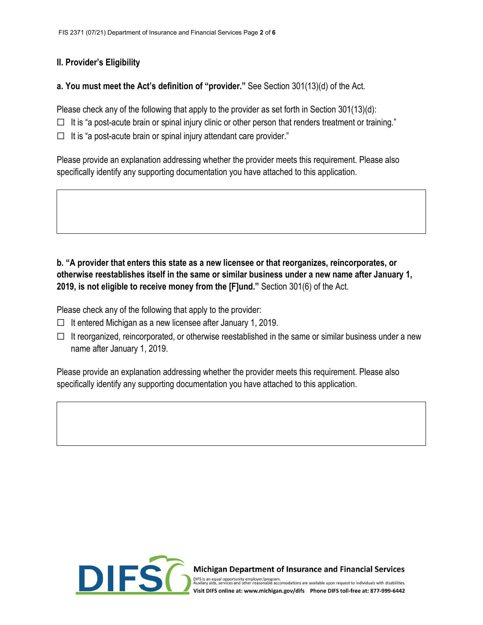## **II. Provider's Eligibility**

### **a. You must meet the Act's definition of "provider."** See Section 301(13)(d) of the Act.

Please check any of the following that apply to the provider as set forth in Section 301(13)(d):

 $\Box$  It is "a post-acute brain or spinal injury clinic or other person that renders treatment or training."

☐ It is "a post-acute brain or spinal injury attendant care provider."

Please provide an explanation addressing whether the provider meets this requirement. Please also specifically identify any supporting documentation you have attached to this application.

## **b. "A provider that enters this state as a new licensee or that reorganizes, reincorporates, or otherwise reestablishes itself in the same or similar business under a new name after January 1, 2019, is not eligible to receive money from the [F]und."** Section 301(6) of the Act.

Please check any of the following that apply to the provider:

- $\Box$  It entered Michigan as a new licensee after January 1, 2019.
- $\Box$  It reorganized, reincorporated, or otherwise reestablished in the same or similar business under a new name after January 1, 2019.

Please provide an explanation addressing whether the provider meets this requirement. Please also specifically identify any supporting documentation you have attached to this application.



Michigan Department of Insurance and Financial Services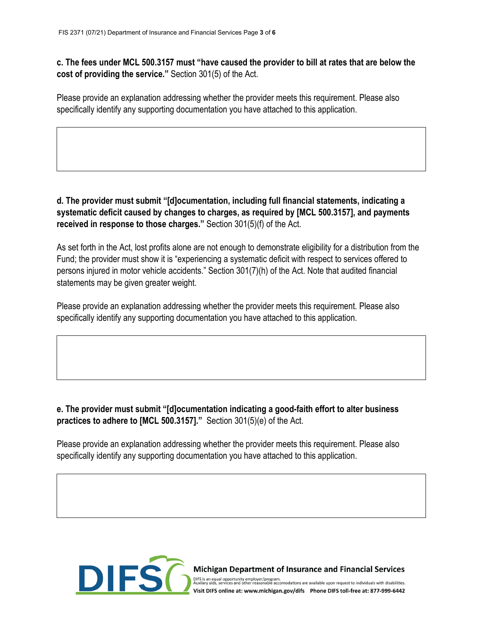**c. The fees under MCL 500.3157 must "have caused the provider to bill at rates that are below the cost of providing the service."** Section 301(5) of the Act.

Please provide an explanation addressing whether the provider meets this requirement. Please also specifically identify any supporting documentation you have attached to this application.

**d. The provider must submit "[d]ocumentation, including full financial statements, indicating a systematic deficit caused by changes to charges, as required by [MCL 500.3157], and payments received in response to those charges."** Section 301(5)(f) of the Act.

As set forth in the Act, lost profits alone are not enough to demonstrate eligibility for a distribution from the Fund; the provider must show it is "experiencing a systematic deficit with respect to services offered to persons injured in motor vehicle accidents." Section 301(7)(h) of the Act. Note that audited financial statements may be given greater weight.

Please provide an explanation addressing whether the provider meets this requirement. Please also specifically identify any supporting documentation you have attached to this application.

## **e. The provider must submit "[d]ocumentation indicating a good-faith effort to alter business practices to adhere to [MCL 500.3157]."** Section 301(5)(e) of the Act.

Please provide an explanation addressing whether the provider meets this requirement. Please also specifically identify any supporting documentation you have attached to this application.



Michigan Department of Insurance and Financial Services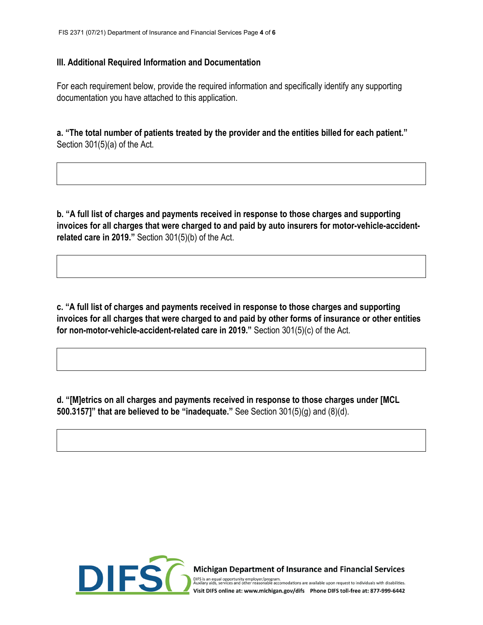### **III. Additional Required Information and Documentation**

For each requirement below, provide the required information and specifically identify any supporting documentation you have attached to this application.

**a. "The total number of patients treated by the provider and the entities billed for each patient."** Section 301(5)(a) of the Act.

**b. "A full list of charges and payments received in response to those charges and supporting invoices for all charges that were charged to and paid by auto insurers for motor-vehicle-accidentrelated care in 2019."** Section 301(5)(b) of the Act.

**c. "A full list of charges and payments received in response to those charges and supporting invoices for all charges that were charged to and paid by other forms of insurance or other entities for non-motor-vehicle-accident-related care in 2019."** Section 301(5)(c) of the Act.

**d. "[M]etrics on all charges and payments received in response to those charges under [MCL 500.3157]" that are believed to be "inadequate."** See Section 301(5)(g) and (8)(d).



Michigan Department of Insurance and Financial Services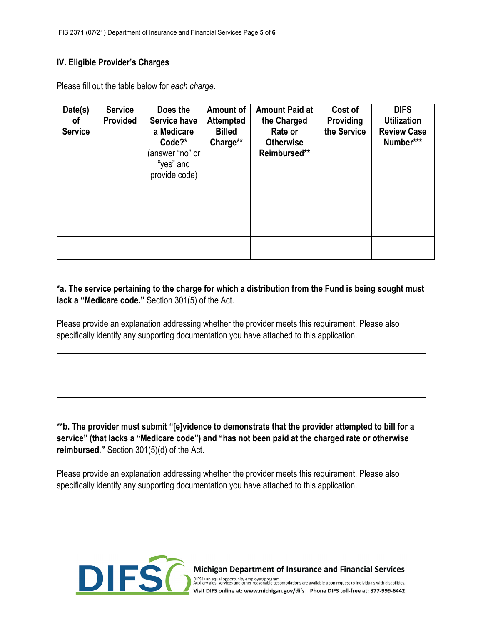## **IV. Eligible Provider's Charges**

| Date(s)<br>0f<br><b>Service</b> | <b>Service</b><br>Provided | Does the<br><b>Service have</b><br>a Medicare<br>Code?*<br>answer "no" or<br>"yes" and<br>provide code) | Amount of<br><b>Attempted</b><br><b>Billed</b><br>Charge** | <b>Amount Paid at</b><br>the Charged<br>Rate or<br><b>Otherwise</b><br>Reimbursed** | Cost of<br>Providing<br>the Service | <b>DIFS</b><br><b>Utilization</b><br><b>Review Case</b><br>Number*** |
|---------------------------------|----------------------------|---------------------------------------------------------------------------------------------------------|------------------------------------------------------------|-------------------------------------------------------------------------------------|-------------------------------------|----------------------------------------------------------------------|
|                                 |                            |                                                                                                         |                                                            |                                                                                     |                                     |                                                                      |
|                                 |                            |                                                                                                         |                                                            |                                                                                     |                                     |                                                                      |
|                                 |                            |                                                                                                         |                                                            |                                                                                     |                                     |                                                                      |
|                                 |                            |                                                                                                         |                                                            |                                                                                     |                                     |                                                                      |
|                                 |                            |                                                                                                         |                                                            |                                                                                     |                                     |                                                                      |
|                                 |                            |                                                                                                         |                                                            |                                                                                     |                                     |                                                                      |
|                                 |                            |                                                                                                         |                                                            |                                                                                     |                                     |                                                                      |

Please fill out the table below for *each charge*.

# **\*a. The service pertaining to the charge for which a distribution from the Fund is being sought must lack a "Medicare code."** Section 301(5) of the Act.

Please provide an explanation addressing whether the provider meets this requirement. Please also specifically identify any supporting documentation you have attached to this application.

**\*\*b. The provider must submit "[e]vidence to demonstrate that the provider attempted to bill for a service" (that lacks a "Medicare code") and "has not been paid at the charged rate or otherwise reimbursed."** Section 301(5)(d) of the Act.

Please provide an explanation addressing whether the provider meets this requirement. Please also specifically identify any supporting documentation you have attached to this application.



**Michigan Department of Insurance and Financial Services**